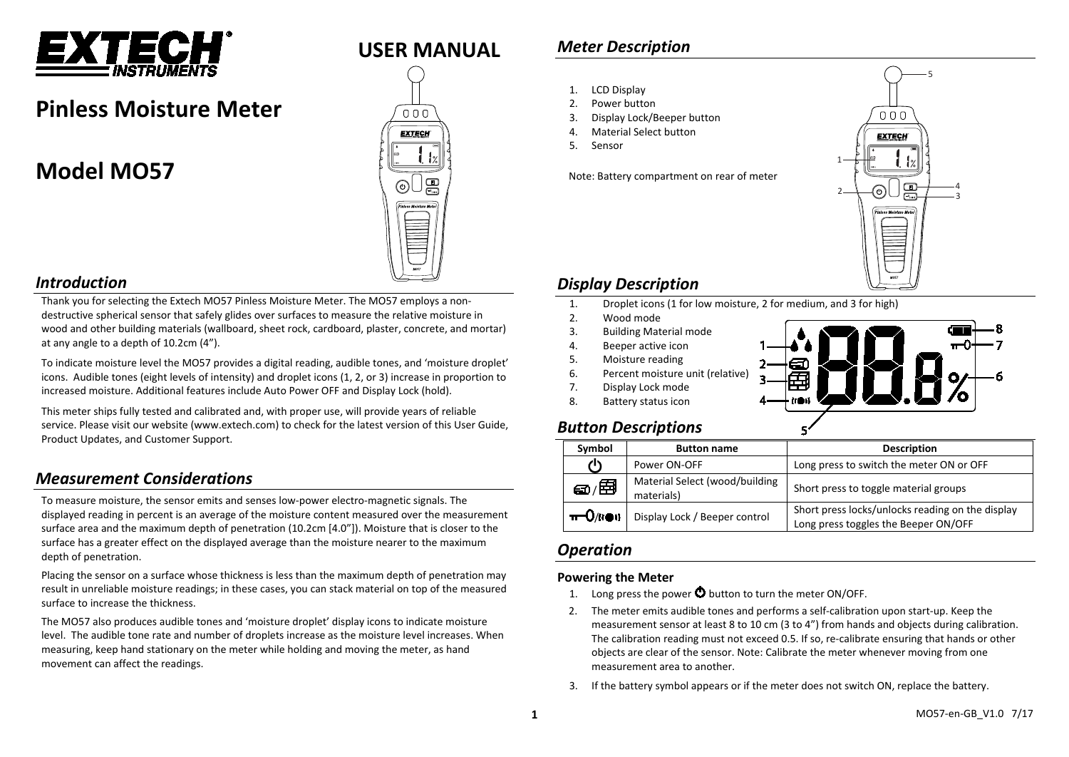

# **Pinless Moisture Meter**

# **Model MO57**



### *Introduction*

Thank you for selecting the Extech MO57 Pinless Moisture Meter. The MO57 employs a nondestructive spherical sensor that safely glides over surfaces to measure the relative moisture in wood and other building materials (wallboard, sheet rock, cardboard, plaster, concrete, and mortar) at any angle to a depth of 10.2cm (4").

To indicate moisture level the MO57 provides a digital reading, audible tones, and 'moisture droplet' icons. Audible tones (eight levels of intensity) and droplet icons (1, 2, or 3) increase in proportion to increased moisture. Additional features include Auto Power OFF and Display Lock (hold).

This meter ships fully tested and calibrated and, with proper use, will provide years of reliable service. Please visit our website [\(www.extech.com\)](http://www.extech.com/) to check for the latest version of this User Guide, Product Updates, and Customer Support.

## *Measurement Considerations*

To measure moisture, the sensor emits and senses low-power electro-magnetic signals. The displayed reading in percent is an average of the moisture content measured over the measurement surface area and the maximum depth of penetration (10.2cm [4.0"]). Moisture that is closer to the surface has a greater effect on the displayed average than the moisture nearer to the maximum depth of penetration.

Placing the sensor on a surface whose thickness is less than the maximum depth of penetration may result in unreliable moisture readings; in these cases, you can stack material on top of the measured surface to increase the thickness.

The MO57 also produces audible tones and 'moisture droplet' display icons to indicate moisture level. The audible tone rate and number of droplets increase as the moisture level increases. When measuring, keep hand stationary on the meter while holding and moving the meter, as hand movement can affect the readings.

## *Meter Description*

- 1. LCD Display
- 2. Power button
- 3. Display Lock/Beeper button
- 4. Material Select button
- 5. Sensor

Note: Battery compartment on rear of meter



## *Display Description*

- 1. Droplet icons (1 for low moisture, 2 for medium, and 3 for high)<br>2. Wood mode
- Wood mode
- 3. Building Material mode
- 4. Beeper active icon
- 5. Moisture reading
- 6. Percent moisture unit (relative)
- 7. Display Lock mode
- 8. Battery status icon



## *Button Descriptions*

| Symbol                | <b>Button name</b>                           | <b>Description</b>                                                                       |
|-----------------------|----------------------------------------------|------------------------------------------------------------------------------------------|
| 11                    | Power ON-OFF                                 | Long press to switch the meter ON or OFF                                                 |
| <i>වා.</i> ⊞ි         | Material Select (wood/building<br>materials) | Short press to toggle material groups                                                    |
| $\pi$ -O/( $\omega$ ) | Display Lock / Beeper control                | Short press locks/unlocks reading on the display<br>Long press toggles the Beeper ON/OFF |

## *Operation*

#### **Powering the Meter**

- 1. Long press the power  $\Phi$  button to turn the meter ON/OFF.
- 2. The meter emits audible tones and performs a self-calibration upon start-up. Keep the measurement sensor at least 8 to 10 cm (3 to 4") from hands and objects during calibration. The calibration reading must not exceed 0.5. If so, re-calibrate ensuring that hands or other objects are clear of the sensor. Note: Calibrate the meter whenever moving from one measurement area to another.
- 3. If the battery symbol appears or if the meter does not switch ON, replace the battery.